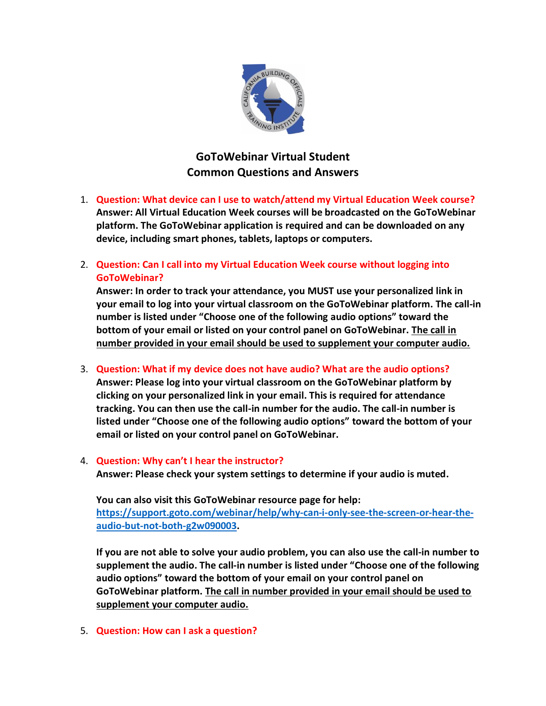

# **GoToWebinar Virtual Student Common Questions and Answers**

- 1. **Question: What device can I use to watch/attend my Virtual Education Week course? Answer: All Virtual Education Week courses will be broadcasted on the GoToWebinar platform. The GoToWebinar application is required and can be downloaded on any device, including smart phones, tablets, laptops or computers.**
- 2. **Question: Can I call into my Virtual Education Week course without logging into GoToWebinar?**

**Answer: In order to track your attendance, you MUST use your personalized link in your email to log into your virtual classroom on the GoToWebinar platform. The call-in number is listed under "Choose one of the following audio options" toward the bottom of your email or listed on your control panel on GoToWebinar. The call in number provided in your email should be used to supplement your computer audio.**

#### 3. **Question: What if my device does not have audio? What are the audio options?**

**Answer: Please log into your virtual classroom on the GoToWebinar platform by clicking on your personalized link in your email. This is required for attendance tracking. You can then use the call-in number for the audio. The call-in number is listed under "Choose one of the following audio options" toward the bottom of your email or listed on your control panel on GoToWebinar.**

#### 4. **Question: Why can't I hear the instructor?**

**Answer: Please check your system settings to determine if your audio is muted.**

**You can also visit this GoToWebinar resource page for help: [https://support.goto.com/webinar/help/why-can-i-only-see-the-screen-or-hear-the](https://support.goto.com/webinar/help/why-can-i-only-see-the-screen-or-hear-the-audio-but-not-both-g2w090003)[audio-but-not-both-g2w090003.](https://support.goto.com/webinar/help/why-can-i-only-see-the-screen-or-hear-the-audio-but-not-both-g2w090003)** 

**If you are not able to solve your audio problem, you can also use the call-in number to supplement the audio. The call-in number is listed under "Choose one of the following audio options" toward the bottom of your email on your control panel on GoToWebinar platform. The call in number provided in your email should be used to supplement your computer audio.**

5. **Question: How can I ask a question?**